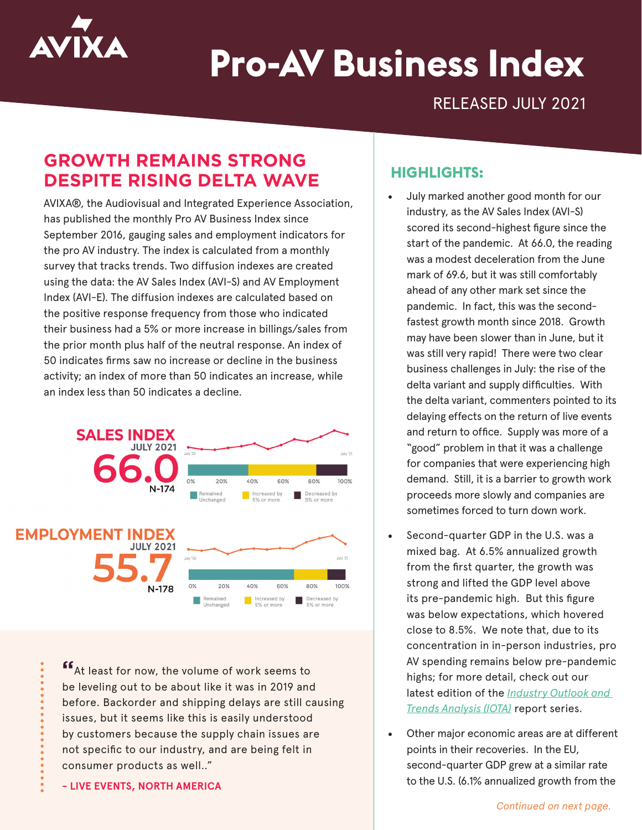

# **Pro-AV Business Index**

RELEASED JULY 2021

# **GROWTH REMAINS STRONG DESPITE RISING DELTA WAVE**

AVIXA®, the Audiovisual and Integrated Experience Association, has published the monthly Pro AV Business Index since September 2016, gauging sales and employment indicators for the pro AV industry. The index is calculated from a monthly survey that tracks trends. Two diffusion indexes are created using the data: the AV Sales Index (AVI-S) and AV Employment Index (AVI-E). The diffusion indexes are calculated based on the positive response frequency from those who indicated their business had a 5% or more increase in billings/sales from the prior month plus half of the neutral response. An index of 50 indicates firms saw no increase or decline in the business activity; an index of more than 50 indicates an increase, while an index less than 50 indicates a decline.



**"**At least for now, the volume of work seems to be leveling out to be about like it was in 2019 and before. Backorder and shipping delays are still causing issues, but it seems like this is easily understood by customers because the supply chain issues are not specific to our industry, and are being felt in consumer products as well.."

**- LIVE EVENTS, NORTH AMERICA**

## **HIGHLIGHTS:**

- July marked another good month for our industry, as the AV Sales Index (AVI-S) scored its second-highest figure since the start of the pandemic. At 66.0, the reading was a modest deceleration from the June mark of 69.6, but it was still comfortably ahead of any other mark set since the pandemic. In fact, this was the secondfastest growth month since 2018. Growth may have been slower than in June, but it was still very rapid! There were two clear business challenges in July: the rise of the delta variant and supply difficulties. With the delta variant, commenters pointed to its delaying effects on the return of live events and return to office. Supply was more of a "good" problem in that it was a challenge for companies that were experiencing high demand. Still, it is a barrier to growth work proceeds more slowly and companies are sometimes forced to turn down work.
- Second-quarter GDP in the U.S. was a mixed bag. At 6.5% annualized growth from the first quarter, the growth was strong and lifted the GDP level above its pre-pandemic high. But this figure was below expectations, which hovered close to 8.5%. We note that, due to its concentration in in-person industries, pro AV spending remains below pre-pandemic highs; for more detail, check out our latest edition of the *[Industry Outlook and](https://www.avixa.org/market-intelligence/iota)  [Trends Analysis \(IOTA\)](https://www.avixa.org/market-intelligence/iota)* report series.
- Other major economic areas are at different points in their recoveries. In the EU, second-quarter GDP grew at a similar rate to the U.S. (6.1% annualized growth from the

*Continued on next page.*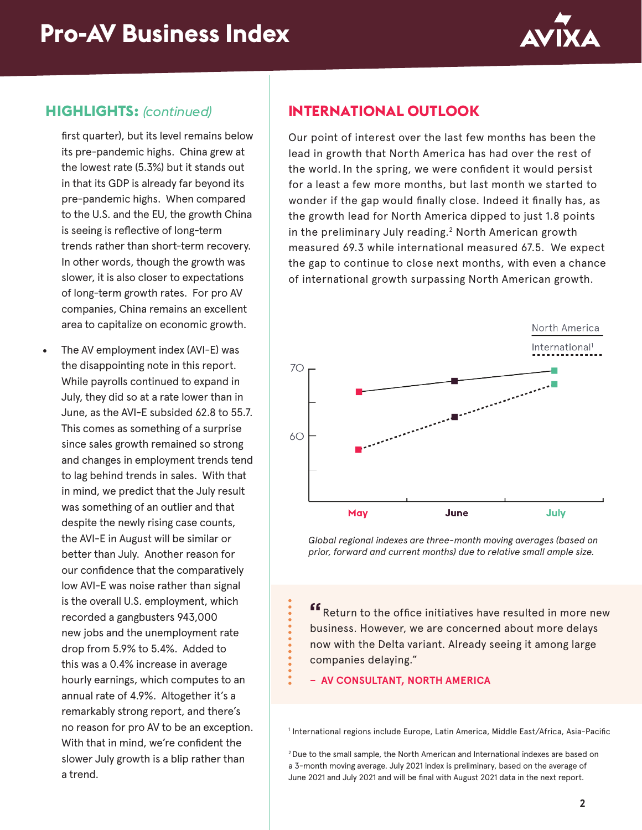

#### **HIGHLIGHTS:** *(continued)*

first quarter), but its level remains below its pre-pandemic highs. China grew at the lowest rate (5.3%) but it stands out in that its GDP is already far beyond its pre-pandemic highs. When compared to the U.S. and the EU, the growth China is seeing is reflective of long-term trends rather than short-term recovery. In other words, though the growth was slower, it is also closer to expectations of long-term growth rates. For pro AV companies, China remains an excellent area to capitalize on economic growth.

The AV employment index (AVI-E) was the disappointing note in this report. While payrolls continued to expand in July, they did so at a rate lower than in June, as the AVI-E subsided 62.8 to 55.7. This comes as something of a surprise since sales growth remained so strong and changes in employment trends tend to lag behind trends in sales. With that in mind, we predict that the July result was something of an outlier and that despite the newly rising case counts, the AVI-E in August will be similar or better than July. Another reason for our confidence that the comparatively low AVI-E was noise rather than signal is the overall U.S. employment, which recorded a gangbusters 943,000 new jobs and the unemployment rate drop from 5.9% to 5.4%. Added to this was a 0.4% increase in average hourly earnings, which computes to an annual rate of 4.9%. Altogether it's a remarkably strong report, and there's no reason for pro AV to be an exception. With that in mind, we're confident the slower July growth is a blip rather than a trend.

## **INTERNATIONAL OUTLOOK**

Our point of interest over the last few months has been the lead in growth that North America has had over the rest of the world. In the spring, we were confident it would persist for a least a few more months, but last month we started to wonder if the gap would finally close. Indeed it finally has, as the growth lead for North America dipped to just 1.8 points in the preliminary July reading.<sup>2</sup> North American growth measured 69.3 while international measured 67.5. We expect the gap to continue to close next months, with even a chance of international growth surpassing North American growth.



*Global regional indexes are three-month moving averages (based on prior, forward and current months) due to relative small ample size.*

**"**Return to the office initiatives have resulted in more new business. However, we are concerned about more delays now with the Delta variant. Already seeing it among large companies delaying."

**– AV CONSULTANT, NORTH AMERICA**

1 International regions include Europe, Latin America, Middle East/Africa, Asia-Pacific

2 Due to the small sample, the North American and International indexes are based on a 3-month moving average. July 2021 index is preliminary, based on the average of June 2021 and July 2021 and will be final with August 2021 data in the next report.